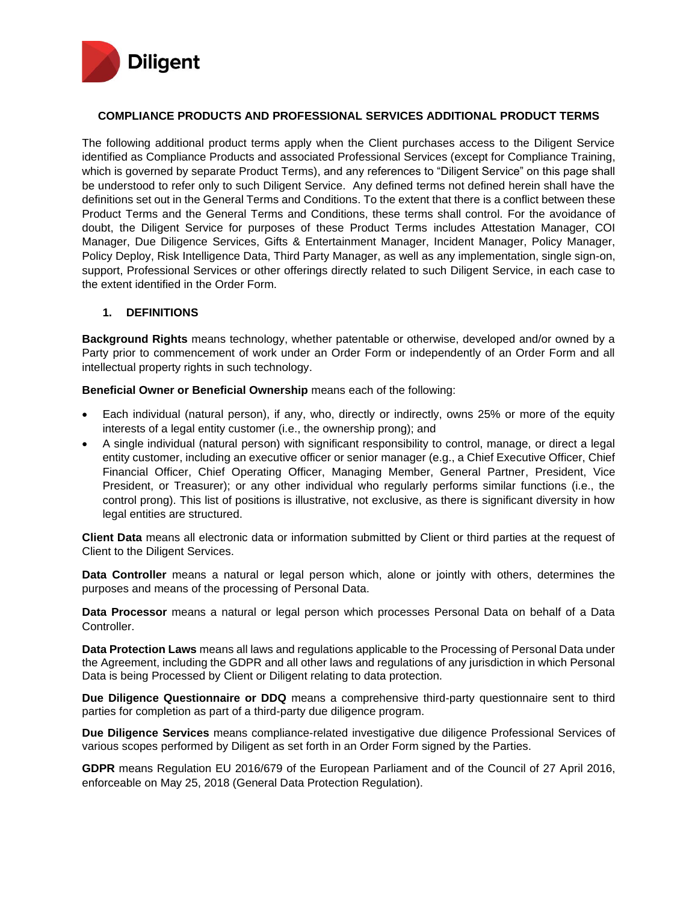

#### **COMPLIANCE PRODUCTS AND PROFESSIONAL SERVICES ADDITIONAL PRODUCT TERMS**

The following additional product terms apply when the Client purchases access to the Diligent Service identified as Compliance Products and associated Professional Services (except for Compliance Training, which is governed by separate Product Terms), and any references to "Diligent Service" on this page shall be understood to refer only to such Diligent Service. Any defined terms not defined herein shall have the definitions set out in the General Terms and Conditions. To the extent that there is a conflict between these Product Terms and the General Terms and Conditions, these terms shall control. For the avoidance of doubt, the Diligent Service for purposes of these Product Terms includes Attestation Manager, COI Manager, Due Diligence Services, Gifts & Entertainment Manager, Incident Manager, Policy Manager, Policy Deploy, Risk Intelligence Data, Third Party Manager, as well as any implementation, single sign-on, support, Professional Services or other offerings directly related to such Diligent Service, in each case to the extent identified in the Order Form.

#### **1. DEFINITIONS**

**Background Rights** means technology, whether patentable or otherwise, developed and/or owned by a Party prior to commencement of work under an Order Form or independently of an Order Form and all intellectual property rights in such technology.

**Beneficial Owner or Beneficial Ownership** means each of the following:

- Each individual (natural person), if any, who, directly or indirectly, owns 25% or more of the equity interests of a legal entity customer (i.e., the ownership prong); and
- A single individual (natural person) with significant responsibility to control, manage, or direct a legal entity customer, including an executive officer or senior manager (e.g., a Chief Executive Officer, Chief Financial Officer, Chief Operating Officer, Managing Member, General Partner, President, Vice President, or Treasurer); or any other individual who regularly performs similar functions (i.e., the control prong). This list of positions is illustrative, not exclusive, as there is significant diversity in how legal entities are structured.

**Client Data** means all electronic data or information submitted by Client or third parties at the request of Client to the Diligent Services.

**Data Controller** means a natural or legal person which, alone or jointly with others, determines the purposes and means of the processing of Personal Data.

**Data Processor** means a natural or legal person which processes Personal Data on behalf of a Data Controller.

**Data Protection Laws** means all laws and regulations applicable to the Processing of Personal Data under the Agreement, including the GDPR and all other laws and regulations of any jurisdiction in which Personal Data is being Processed by Client or Diligent relating to data protection.

**Due Diligence Questionnaire or DDQ** means a comprehensive third-party questionnaire sent to third parties for completion as part of a third-party due diligence program.

**Due Diligence Services** means compliance-related investigative due diligence Professional Services of various scopes performed by Diligent as set forth in an Order Form signed by the Parties.

**GDPR** means Regulation EU 2016/679 of the European Parliament and of the Council of 27 April 2016, enforceable on May 25, 2018 (General Data Protection Regulation).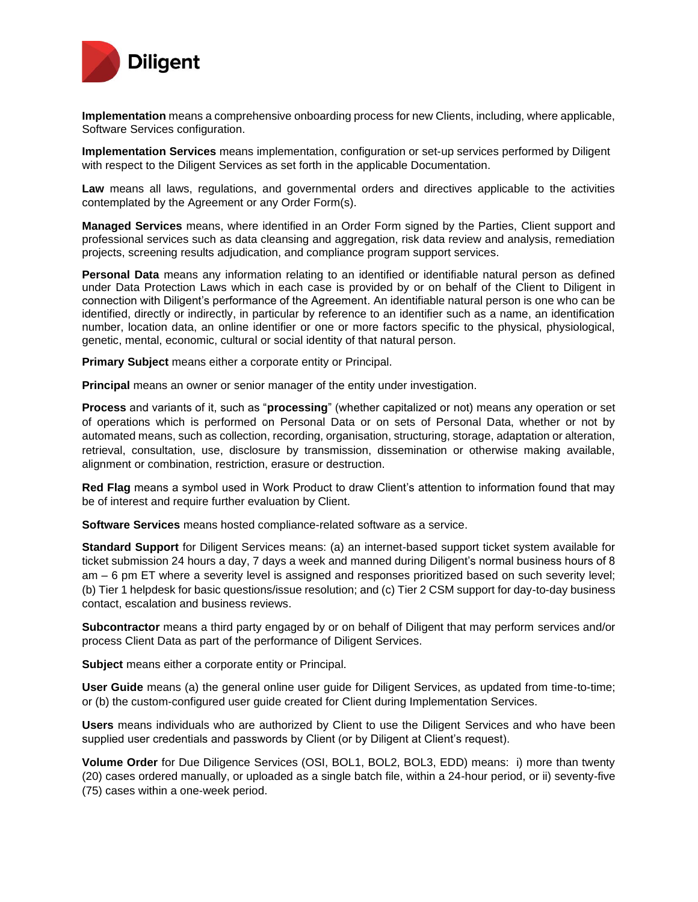

**Implementation** means a comprehensive onboarding process for new Clients, including, where applicable, Software Services configuration.

**Implementation Services** means implementation, configuration or set-up services performed by Diligent with respect to the Diligent Services as set forth in the applicable Documentation.

**Law** means all laws, regulations, and governmental orders and directives applicable to the activities contemplated by the Agreement or any Order Form(s).

**Managed Services** means, where identified in an Order Form signed by the Parties, Client support and professional services such as data cleansing and aggregation, risk data review and analysis, remediation projects, screening results adjudication, and compliance program support services.

**Personal Data** means any information relating to an identified or identifiable natural person as defined under Data Protection Laws which in each case is provided by or on behalf of the Client to Diligent in connection with Diligent's performance of the Agreement. An identifiable natural person is one who can be identified, directly or indirectly, in particular by reference to an identifier such as a name, an identification number, location data, an online identifier or one or more factors specific to the physical, physiological, genetic, mental, economic, cultural or social identity of that natural person.

**Primary Subject** means either a corporate entity or Principal.

**Principal** means an owner or senior manager of the entity under investigation.

**Process** and variants of it, such as "**processing**" (whether capitalized or not) means any operation or set of operations which is performed on Personal Data or on sets of Personal Data, whether or not by automated means, such as collection, recording, organisation, structuring, storage, adaptation or alteration, retrieval, consultation, use, disclosure by transmission, dissemination or otherwise making available, alignment or combination, restriction, erasure or destruction.

**Red Flag** means a symbol used in Work Product to draw Client's attention to information found that may be of interest and require further evaluation by Client.

**Software Services** means hosted compliance-related software as a service.

**Standard Support** for Diligent Services means: (a) an internet-based support ticket system available for ticket submission 24 hours a day, 7 days a week and manned during Diligent's normal business hours of 8 am – 6 pm ET where a severity level is assigned and responses prioritized based on such severity level; (b) Tier 1 helpdesk for basic questions/issue resolution; and (c) Tier 2 CSM support for day-to-day business contact, escalation and business reviews.

**Subcontractor** means a third party engaged by or on behalf of Diligent that may perform services and/or process Client Data as part of the performance of Diligent Services.

**Subject** means either a corporate entity or Principal.

**User Guide** means (a) the general online user guide for Diligent Services, as updated from time-to-time; or (b) the custom-configured user guide created for Client during Implementation Services.

**Users** means individuals who are authorized by Client to use the Diligent Services and who have been supplied user credentials and passwords by Client (or by Diligent at Client's request).

**Volume Order** for Due Diligence Services (OSI, BOL1, BOL2, BOL3, EDD) means: i) more than twenty (20) cases ordered manually, or uploaded as a single batch file, within a 24-hour period, or ii) seventy-five (75) cases within a one-week period.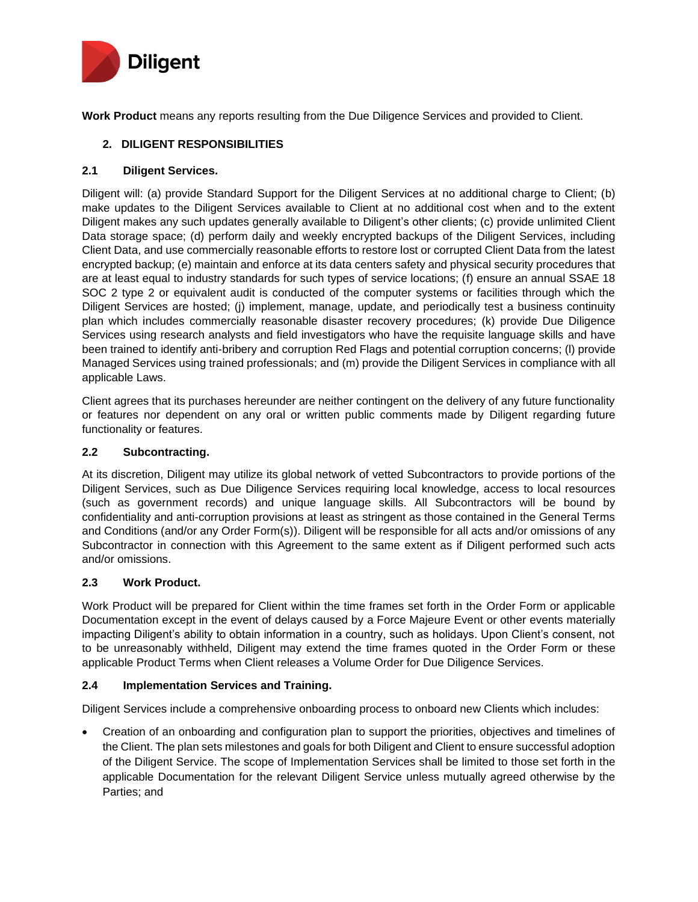

**Work Product** means any reports resulting from the Due Diligence Services and provided to Client.

# **2. DILIGENT RESPONSIBILITIES**

## **2.1 Diligent Services.**

Diligent will: (a) provide Standard Support for the Diligent Services at no additional charge to Client; (b) make updates to the Diligent Services available to Client at no additional cost when and to the extent Diligent makes any such updates generally available to Diligent's other clients; (c) provide unlimited Client Data storage space; (d) perform daily and weekly encrypted backups of the Diligent Services, including Client Data, and use commercially reasonable efforts to restore lost or corrupted Client Data from the latest encrypted backup; (e) maintain and enforce at its data centers safety and physical security procedures that are at least equal to industry standards for such types of service locations; (f) ensure an annual SSAE 18 SOC 2 type 2 or equivalent audit is conducted of the computer systems or facilities through which the Diligent Services are hosted; (j) implement, manage, update, and periodically test a business continuity plan which includes commercially reasonable disaster recovery procedures; (k) provide Due Diligence Services using research analysts and field investigators who have the requisite language skills and have been trained to identify anti-bribery and corruption Red Flags and potential corruption concerns; (l) provide Managed Services using trained professionals; and (m) provide the Diligent Services in compliance with all applicable Laws.

Client agrees that its purchases hereunder are neither contingent on the delivery of any future functionality or features nor dependent on any oral or written public comments made by Diligent regarding future functionality or features.

### **2.2 Subcontracting.**

At its discretion, Diligent may utilize its global network of vetted Subcontractors to provide portions of the Diligent Services, such as Due Diligence Services requiring local knowledge, access to local resources (such as government records) and unique language skills. All Subcontractors will be bound by confidentiality and anti-corruption provisions at least as stringent as those contained in the General Terms and Conditions (and/or any Order Form(s)). Diligent will be responsible for all acts and/or omissions of any Subcontractor in connection with this Agreement to the same extent as if Diligent performed such acts and/or omissions.

## **2.3 Work Product.**

Work Product will be prepared for Client within the time frames set forth in the Order Form or applicable Documentation except in the event of delays caused by a Force Majeure Event or other events materially impacting Diligent's ability to obtain information in a country, such as holidays. Upon Client's consent, not to be unreasonably withheld, Diligent may extend the time frames quoted in the Order Form or these applicable Product Terms when Client releases a Volume Order for Due Diligence Services.

## **2.4 Implementation Services and Training.**

Diligent Services include a comprehensive onboarding process to onboard new Clients which includes:

• Creation of an onboarding and configuration plan to support the priorities, objectives and timelines of the Client. The plan sets milestones and goals for both Diligent and Client to ensure successful adoption of the Diligent Service. The scope of Implementation Services shall be limited to those set forth in the applicable Documentation for the relevant Diligent Service unless mutually agreed otherwise by the Parties; and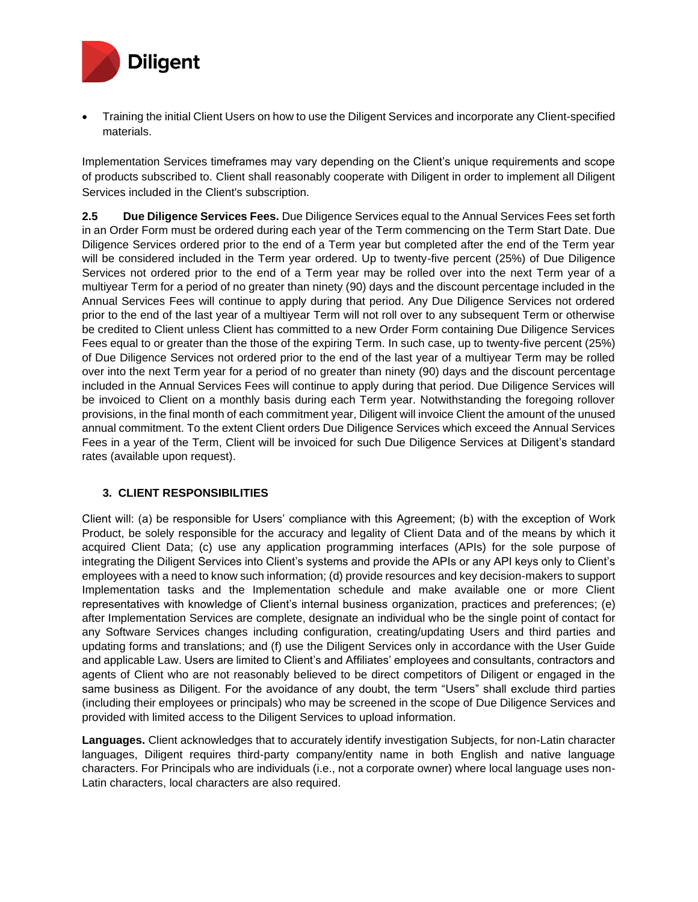

• Training the initial Client Users on how to use the Diligent Services and incorporate any Client-specified materials.

Implementation Services timeframes may vary depending on the Client's unique requirements and scope of products subscribed to. Client shall reasonably cooperate with Diligent in order to implement all Diligent Services included in the Client's subscription.

**2.5 Due Diligence Services Fees.** Due Diligence Services equal to the Annual Services Fees set forth in an Order Form must be ordered during each year of the Term commencing on the Term Start Date. Due Diligence Services ordered prior to the end of a Term year but completed after the end of the Term year will be considered included in the Term year ordered. Up to twenty-five percent (25%) of Due Diligence Services not ordered prior to the end of a Term year may be rolled over into the next Term year of a multiyear Term for a period of no greater than ninety (90) days and the discount percentage included in the Annual Services Fees will continue to apply during that period. Any Due Diligence Services not ordered prior to the end of the last year of a multiyear Term will not roll over to any subsequent Term or otherwise be credited to Client unless Client has committed to a new Order Form containing Due Diligence Services Fees equal to or greater than the those of the expiring Term. In such case, up to twenty-five percent (25%) of Due Diligence Services not ordered prior to the end of the last year of a multiyear Term may be rolled over into the next Term year for a period of no greater than ninety (90) days and the discount percentage included in the Annual Services Fees will continue to apply during that period. Due Diligence Services will be invoiced to Client on a monthly basis during each Term year. Notwithstanding the foregoing rollover provisions, in the final month of each commitment year, Diligent will invoice Client the amount of the unused annual commitment. To the extent Client orders Due Diligence Services which exceed the Annual Services Fees in a year of the Term, Client will be invoiced for such Due Diligence Services at Diligent's standard rates (available upon request).

## **3. CLIENT RESPONSIBILITIES**

Client will: (a) be responsible for Users' compliance with this Agreement; (b) with the exception of Work Product, be solely responsible for the accuracy and legality of Client Data and of the means by which it acquired Client Data; (c) use any application programming interfaces (APIs) for the sole purpose of integrating the Diligent Services into Client's systems and provide the APIs or any API keys only to Client's employees with a need to know such information; (d) provide resources and key decision-makers to support Implementation tasks and the Implementation schedule and make available one or more Client representatives with knowledge of Client's internal business organization, practices and preferences; (e) after Implementation Services are complete, designate an individual who be the single point of contact for any Software Services changes including configuration, creating/updating Users and third parties and updating forms and translations; and (f) use the Diligent Services only in accordance with the User Guide and applicable Law. Users are limited to Client's and Affiliates' employees and consultants, contractors and agents of Client who are not reasonably believed to be direct competitors of Diligent or engaged in the same business as Diligent. For the avoidance of any doubt, the term "Users" shall exclude third parties (including their employees or principals) who may be screened in the scope of Due Diligence Services and provided with limited access to the Diligent Services to upload information.

**Languages.** Client acknowledges that to accurately identify investigation Subjects, for non-Latin character languages, Diligent requires third-party company/entity name in both English and native language characters. For Principals who are individuals (i.e., not a corporate owner) where local language uses non-Latin characters, local characters are also required.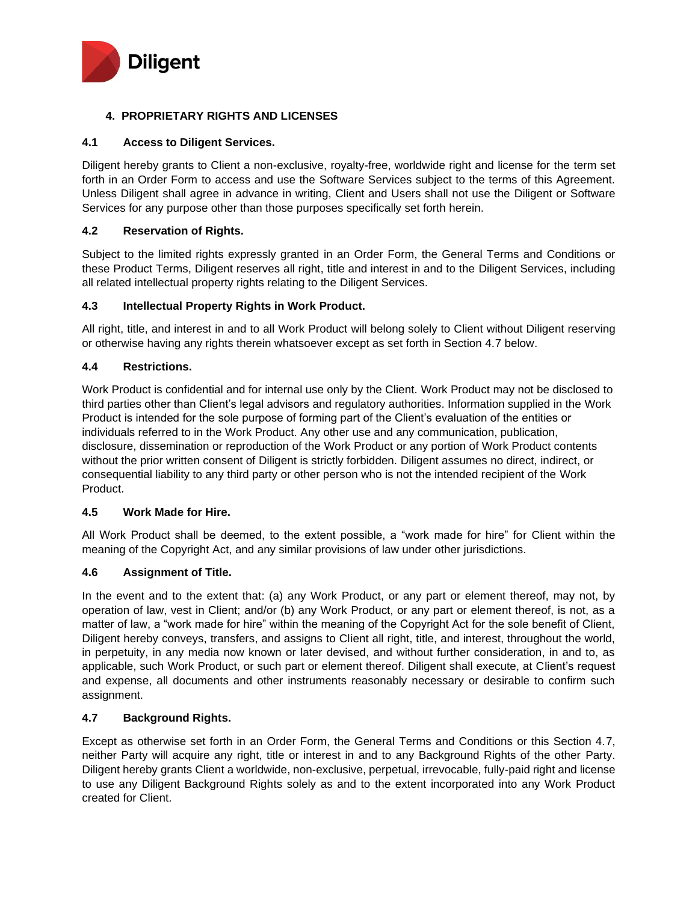

## **4. PROPRIETARY RIGHTS AND LICENSES**

### **4.1 Access to Diligent Services.**

Diligent hereby grants to Client a non-exclusive, royalty-free, worldwide right and license for the term set forth in an Order Form to access and use the Software Services subject to the terms of this Agreement. Unless Diligent shall agree in advance in writing, Client and Users shall not use the Diligent or Software Services for any purpose other than those purposes specifically set forth herein.

### **4.2 Reservation of Rights.**

Subject to the limited rights expressly granted in an Order Form, the General Terms and Conditions or these Product Terms, Diligent reserves all right, title and interest in and to the Diligent Services, including all related intellectual property rights relating to the Diligent Services.

#### **4.3 Intellectual Property Rights in Work Product.**

All right, title, and interest in and to all Work Product will belong solely to Client without Diligent reserving or otherwise having any rights therein whatsoever except as set forth in Section 4.7 below.

#### **4.4 Restrictions.**

Work Product is confidential and for internal use only by the Client. Work Product may not be disclosed to third parties other than Client's legal advisors and regulatory authorities. Information supplied in the Work Product is intended for the sole purpose of forming part of the Client's evaluation of the entities or individuals referred to in the Work Product. Any other use and any communication, publication, disclosure, dissemination or reproduction of the Work Product or any portion of Work Product contents without the prior written consent of Diligent is strictly forbidden. Diligent assumes no direct, indirect, or consequential liability to any third party or other person who is not the intended recipient of the Work Product.

#### **4.5 Work Made for Hire.**

All Work Product shall be deemed, to the extent possible, a "work made for hire" for Client within the meaning of the Copyright Act, and any similar provisions of law under other jurisdictions.

## **4.6 Assignment of Title.**

In the event and to the extent that: (a) any Work Product, or any part or element thereof, may not, by operation of law, vest in Client; and/or (b) any Work Product, or any part or element thereof, is not, as a matter of law, a "work made for hire" within the meaning of the Copyright Act for the sole benefit of Client, Diligent hereby conveys, transfers, and assigns to Client all right, title, and interest, throughout the world, in perpetuity, in any media now known or later devised, and without further consideration, in and to, as applicable, such Work Product, or such part or element thereof. Diligent shall execute, at Client's request and expense, all documents and other instruments reasonably necessary or desirable to confirm such assignment.

### **4.7 Background Rights.**

Except as otherwise set forth in an Order Form, the General Terms and Conditions or this Section 4.7, neither Party will acquire any right, title or interest in and to any Background Rights of the other Party. Diligent hereby grants Client a worldwide, non-exclusive, perpetual, irrevocable, fully-paid right and license to use any Diligent Background Rights solely as and to the extent incorporated into any Work Product created for Client.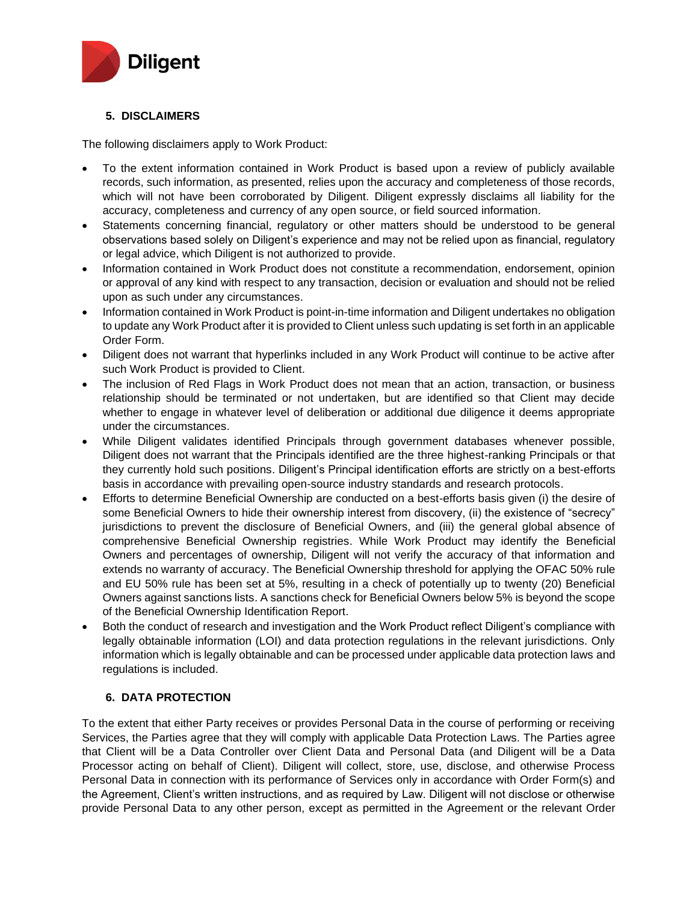

## **5. DISCLAIMERS**

The following disclaimers apply to Work Product:

- To the extent information contained in Work Product is based upon a review of publicly available records, such information, as presented, relies upon the accuracy and completeness of those records, which will not have been corroborated by Diligent. Diligent expressly disclaims all liability for the accuracy, completeness and currency of any open source, or field sourced information.
- Statements concerning financial, regulatory or other matters should be understood to be general observations based solely on Diligent's experience and may not be relied upon as financial, regulatory or legal advice, which Diligent is not authorized to provide.
- Information contained in Work Product does not constitute a recommendation, endorsement, opinion or approval of any kind with respect to any transaction, decision or evaluation and should not be relied upon as such under any circumstances.
- Information contained in Work Product is point-in-time information and Diligent undertakes no obligation to update any Work Product after it is provided to Client unless such updating is set forth in an applicable Order Form.
- Diligent does not warrant that hyperlinks included in any Work Product will continue to be active after such Work Product is provided to Client.
- The inclusion of Red Flags in Work Product does not mean that an action, transaction, or business relationship should be terminated or not undertaken, but are identified so that Client may decide whether to engage in whatever level of deliberation or additional due diligence it deems appropriate under the circumstances.
- While Diligent validates identified Principals through government databases whenever possible, Diligent does not warrant that the Principals identified are the three highest-ranking Principals or that they currently hold such positions. Diligent's Principal identification efforts are strictly on a best-efforts basis in accordance with prevailing open-source industry standards and research protocols.
- Efforts to determine Beneficial Ownership are conducted on a best-efforts basis given (i) the desire of some Beneficial Owners to hide their ownership interest from discovery, (ii) the existence of "secrecy" jurisdictions to prevent the disclosure of Beneficial Owners, and (iii) the general global absence of comprehensive Beneficial Ownership registries. While Work Product may identify the Beneficial Owners and percentages of ownership, Diligent will not verify the accuracy of that information and extends no warranty of accuracy. The Beneficial Ownership threshold for applying the OFAC 50% rule and EU 50% rule has been set at 5%, resulting in a check of potentially up to twenty (20) Beneficial Owners against sanctions lists. A sanctions check for Beneficial Owners below 5% is beyond the scope of the Beneficial Ownership Identification Report.
- Both the conduct of research and investigation and the Work Product reflect Diligent's compliance with legally obtainable information (LOI) and data protection regulations in the relevant jurisdictions. Only information which is legally obtainable and can be processed under applicable data protection laws and regulations is included.

## **6. DATA PROTECTION**

To the extent that either Party receives or provides Personal Data in the course of performing or receiving Services, the Parties agree that they will comply with applicable Data Protection Laws. The Parties agree that Client will be a Data Controller over Client Data and Personal Data (and Diligent will be a Data Processor acting on behalf of Client). Diligent will collect, store, use, disclose, and otherwise Process Personal Data in connection with its performance of Services only in accordance with Order Form(s) and the Agreement, Client's written instructions, and as required by Law. Diligent will not disclose or otherwise provide Personal Data to any other person, except as permitted in the Agreement or the relevant Order